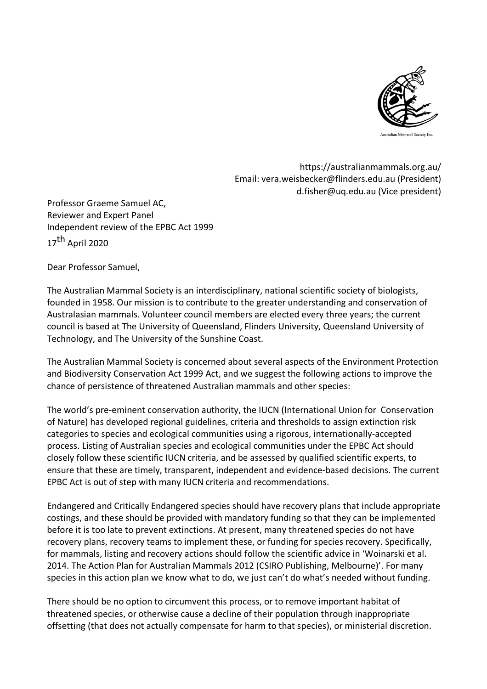

https://australianmammals.org.au/ Email: vera.weisbecker@flinders.edu.au (President) d.fisher@uq.edu.au (Vice president)

Professor Graeme Samuel AC, Reviewer and Expert Panel Independent review of the EPBC Act 1999 17<sup>th</sup> April 2020

Dear Professor Samuel,

The Australian Mammal Society is an interdisciplinary, national scientific society of biologists, founded in 1958. Our mission is to contribute to the greater understanding and conservation of Australasian mammals. Volunteer council members are elected every three years; the current council is based at The University of Queensland, Flinders University, Queensland University of Technology, and The University of the Sunshine Coast.

The Australian Mammal Society is concerned about several aspects of the Environment Protection and Biodiversity Conservation Act 1999 Act, and we suggest the following actions to improve the chance of persistence of threatened Australian mammals and other species:

The world's pre-eminent conservation authority, the IUCN (International Union for Conservation of Nature) has developed regional guidelines, criteria and thresholds to assign extinction risk categories to species and ecological communities using a rigorous, internationally-accepted process. Listing of Australian species and ecological communities under the EPBC Act should closely follow these scientific IUCN criteria, and be assessed by qualified scientific experts, to ensure that these are timely, transparent, independent and evidence-based decisions. The current EPBC Act is out of step with many IUCN criteria and recommendations.

Endangered and Critically Endangered species should have recovery plans that include appropriate costings, and these should be provided with mandatory funding so that they can be implemented before it is too late to prevent extinctions. At present, many threatened species do not have recovery plans, recovery teams to implement these, or funding for species recovery. Specifically, for mammals, listing and recovery actions should follow the scientific advice in 'Woinarski et al. 2014. The Action Plan for Australian Mammals 2012 (CSIRO Publishing, Melbourne)'. For many species in this action plan we know what to do, we just can't do what's needed without funding.

There should be no option to circumvent this process, or to remove important habitat of threatened species, or otherwise cause a decline of their population through inappropriate offsetting (that does not actually compensate for harm to that species), or ministerial discretion.